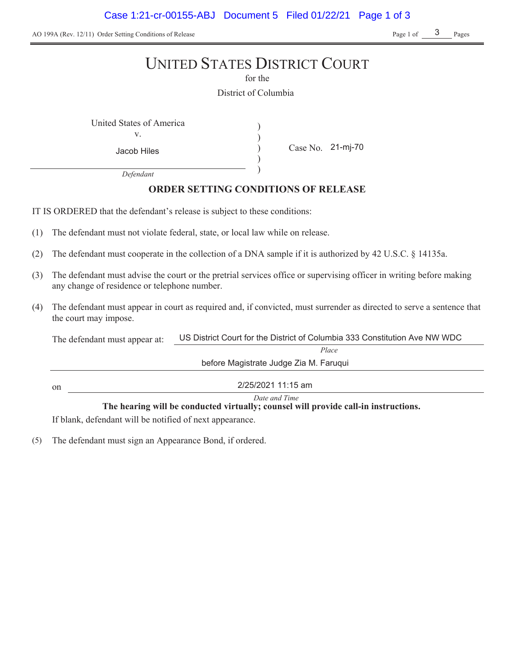Case 1:21-cr-00155-ABJ Document 5 Filed 01/22/21 Page 1 of 3

AO 199A (Rev. 12/11) Order Setting Conditions of Release Page 1 of Page 1 of Pages

3

# UNITED STATES DISTRICT COURT

for the

District of Columbia

) ) ) )

United States of America (1992) v.

Case No. Jacob Hiles 21-mj-70

*Defendant*

# **ORDER SETTING CONDITIONS OF RELEASE**

IT IS ORDERED that the defendant's release is subject to these conditions:

- (1) The defendant must not violate federal, state, or local law while on release.
- (2) The defendant must cooperate in the collection of a DNA sample if it is authorized by 42 U.S.C. § 14135a.
- (3) The defendant must advise the court or the pretrial services office or supervising officer in writing before making any change of residence or telephone number.
- (4) The defendant must appear in court as required and, if convicted, must surrender as directed to serve a sentence that the court may impose.

The defendant must appear at: *Place* US District Court for the District of Columbia 333 Constitution Ave NW WDC

on

2/25/2021 11:15 am

before Magistrate Judge Zia M. Faruqui

*Date and Time* The hearing will be conducted virtually; counsel will provide call-in instructions.

If blank, defendant will be notified of next appearance.

(5) The defendant must sign an Appearance Bond, if ordered.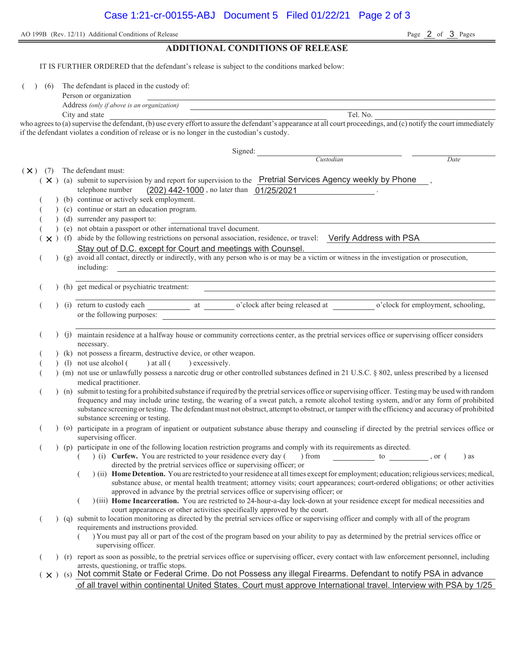AO 199B (Rev. 12/11) Additional Conditions of Release

**ADDITIONAL CONDITIONS OF RELEASE** IT IS FURTHER ORDERED that the defendant's release is subject to the conditions marked below: ( ) (6) The defendant is placed in the custody of: Person or organization Address *(only if above is an organization)* City and state Tel. No. who agrees to (a) supervise the defendant, (b) use every effort to assure the defendant's appearance at all court proceedings, and (c) notify the court immediately if the defendant violates a condition of release or is no longer in the custodian's custody. Signed: *Custodian Date*  $(\times)$  (7) The defendant must:  $(x)$  (a) submit to supervision by and report for supervision to the Pretrial Services Agency weekly by Phone, telephone number (202) 442-1000, no later than 01/25/2021 (b) continue or actively seek employment. ( ) (c) continue or start an education program. ( ) (d) surrender any passport to: ( ) (e) not obtain a passport or other international travel document.  $(x)$  (f) abide by the following restrictions on personal association, residence, or travel: Verify Address with PSA ( ) (g) avoid all contact, directly or indirectly, with any person who is or may be a victim or witness in the investigation or prosecution, including: ( ) (h) get medical or psychiatric treatment: (i) return to custody each at o'clock after being released at o'clock for employment, schooling, or the following purposes: ( ) (j) maintain residence at a halfway house or community corrections center, as the pretrial services office or supervising officer considers necessary. (k) not possess a firearm, destructive device, or other weapon. (1) not use alcohol  $($  ) at all  $($  ) excessively. ( ) (m) not use or unlawfully possess a narcotic drug or other controlled substances defined in 21 U.S.C. § 802, unless prescribed by a licensed medical practitioner. ( ) (n) submit to testing for a prohibited substance if required by the pretrial services office or supervising officer. Testing may be used with random frequency and may include urine testing, the wearing of a sweat patch, a remote alcohol testing system, and/or any form of prohibited substance screening or testing. The defendant must not obstruct, attempt to obstruct, or tamper with the efficiency and accuracy of prohibited substance screening or testing. ( ) (o) participate in a program of inpatient or outpatient substance abuse therapy and counseling if directed by the pretrial services office or supervising officer. ( ) (p) participate in one of the following location restriction programs and comply with its requirements as directed. ( ) (i) **Curfew.** You are restricted to your residence every day ( ) from to , or ( ) as directed by the pretrial services office or supervising officer; or ( ) (ii) **Home Detention.** You are restricted to your residence at all times except for employment; education; religious services; medical, substance abuse, or mental health treatment; attorney visits; court appearances; court-ordered obligations; or other activities approved in advance by the pretrial services office or supervising officer; or ( ) (iii) **Home Incarceration.** You are restricted to 24-hour-a-day lock-down at your residence except for medical necessities and court appearances or other activities specifically approved by the court. ( ) (q) submit to location monitoring as directed by the pretrial services office or supervising officer and comply with all of the program requirements and instructions provided. ( ) You must pay all or part of the cost of the program based on your ability to pay as determined by the pretrial services office or supervising officer. ( ) (r) report as soon as possible, to the pretrial services office or supervising officer, every contact with law enforcement personnel, including arrests, questioning, or traffic stops. (  $\times$  )  $\,$  (s)  $\,$  Not commit State or Federal Crime. Do not Possess any illegal Firearms. Defendant to notify PSA in advance Stay out of D.C. except for Court and meetings with Counsel. of all travel within continental United States. Court must approve International travel. Interview with PSA by 1/25